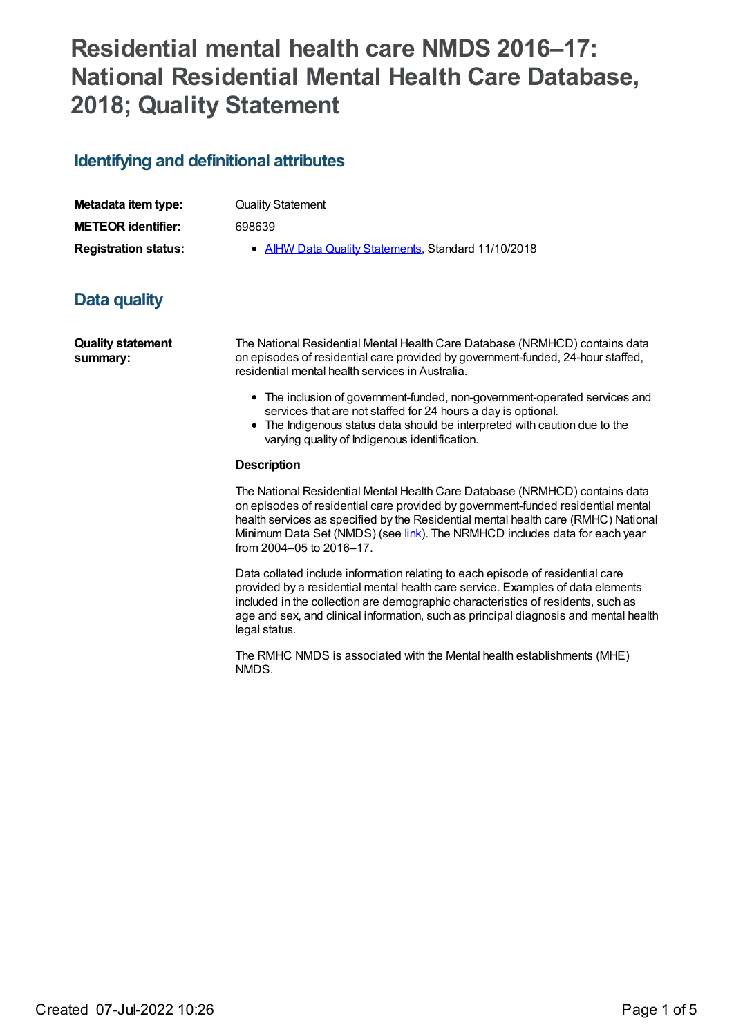# **Residential mental health care NMDS 2016–17: National Residential Mental Health Care Database, 2018; Quality Statement**

## **Identifying and definitional attributes**

| Metadata item type:         |  |
|-----------------------------|--|
| <b>METEOR identifier:</b>   |  |
| <b>Registration status:</b> |  |

**Quality Statement** 

**METEOR identifier:** 698639

**• AIHW Data Quality [Statements](https://meteor.aihw.gov.au/RegistrationAuthority/5), Standard 11/10/2018** 

## **Data quality**

**Quality statement summary:**

The National Residential Mental Health Care Database (NRMHCD) contains data on episodes of residential care provided by government-funded, 24-hour staffed, residential mental health services in Australia.

- The inclusion of government-funded, non-government-operated services and services that are not staffed for 24 hours a day is optional.
- The Indigenous status data should be interpreted with caution due to the varying quality of Indigenous identification.

### **Description**

The National Residential Mental Health Care Database (NRMHCD) contains data on episodes of residential care provided by government-funded residential mental health services as specified by the Residential mental health care (RMHC) National Minimum Data Set (NMDS) (see *[link](file:///content/608539)*). The NRMHCD includes data for each year from 2004–05 to 2016–17.

Data collated include information relating to each episode of residential care provided by a residential mental health care service. Examples of data elements included in the collection are demographic characteristics of residents, such as age and sex, and clinical information, such as principal diagnosis and mental health legal status.

The RMHC NMDS is associated with the Mental health establishments (MHE) NMDS.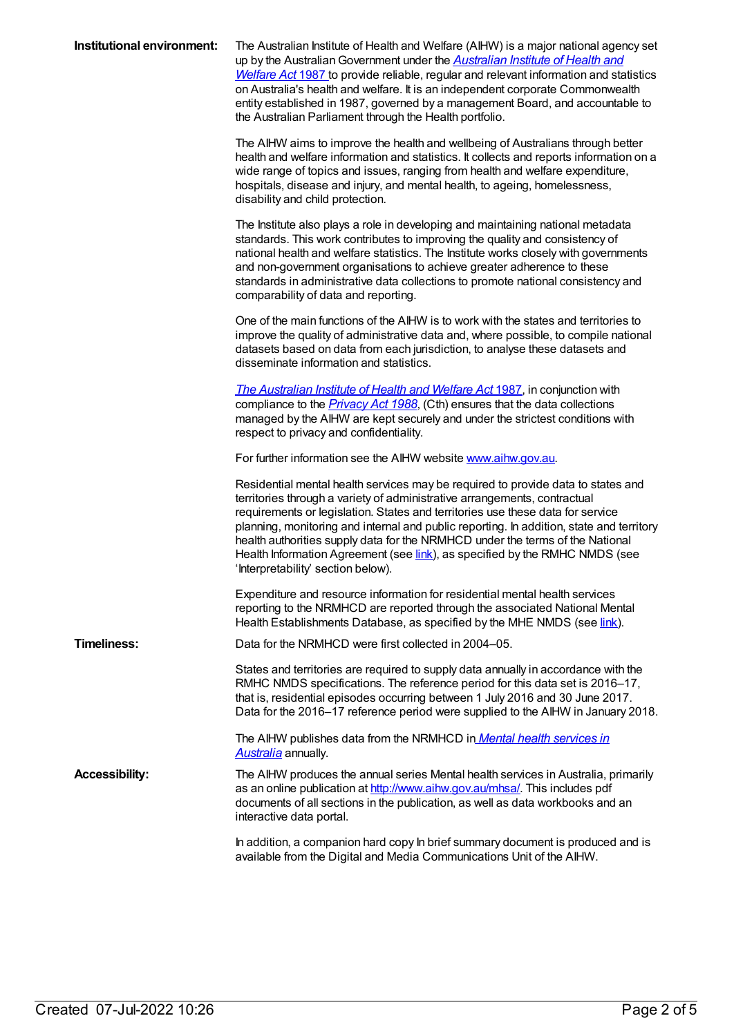| Institutional environment: | The Australian Institute of Health and Welfare (AIHW) is a major national agency set<br>up by the Australian Government under the <b>Australian Institute of Health and</b><br><b>Welfare Act 1987</b> to provide reliable, regular and relevant information and statistics<br>on Australia's health and welfare. It is an independent corporate Commonwealth<br>entity established in 1987, governed by a management Board, and accountable to<br>the Australian Parliament through the Health portfolio.                                        |
|----------------------------|---------------------------------------------------------------------------------------------------------------------------------------------------------------------------------------------------------------------------------------------------------------------------------------------------------------------------------------------------------------------------------------------------------------------------------------------------------------------------------------------------------------------------------------------------|
|                            | The AIHW aims to improve the health and wellbeing of Australians through better<br>health and welfare information and statistics. It collects and reports information on a<br>wide range of topics and issues, ranging from health and welfare expenditure,<br>hospitals, disease and injury, and mental health, to ageing, homelessness,<br>disability and child protection.                                                                                                                                                                     |
|                            | The Institute also plays a role in developing and maintaining national metadata<br>standards. This work contributes to improving the quality and consistency of<br>national health and welfare statistics. The Institute works closely with governments<br>and non-government organisations to achieve greater adherence to these<br>standards in administrative data collections to promote national consistency and<br>comparability of data and reporting.                                                                                     |
|                            | One of the main functions of the AIHW is to work with the states and territories to<br>improve the quality of administrative data and, where possible, to compile national<br>datasets based on data from each jurisdiction, to analyse these datasets and<br>disseminate information and statistics.                                                                                                                                                                                                                                             |
|                            | The Australian Institute of Health and Welfare Act 1987, in conjunction with<br>compliance to the <i>Privacy Act 1988</i> , (Cth) ensures that the data collections<br>managed by the AIHW are kept securely and under the strictest conditions with<br>respect to privacy and confidentiality.                                                                                                                                                                                                                                                   |
|                            | For further information see the AIHW website www.aihw.gov.au.                                                                                                                                                                                                                                                                                                                                                                                                                                                                                     |
|                            | Residential mental health services may be required to provide data to states and<br>territories through a variety of administrative arrangements, contractual<br>requirements or legislation. States and territories use these data for service<br>planning, monitoring and internal and public reporting. In addition, state and territory<br>health authorities supply data for the NRMHCD under the terms of the National<br>Health Information Agreement (see link), as specified by the RMHC NMDS (see<br>'Interpretability' section below). |
|                            | Expenditure and resource information for residential mental health services<br>reporting to the NRMHCD are reported through the associated National Mental<br>Health Establishments Database, as specified by the MHE NMDS (see link).                                                                                                                                                                                                                                                                                                            |
| <b>Timeliness:</b>         | Data for the NRMHCD were first collected in 2004-05.                                                                                                                                                                                                                                                                                                                                                                                                                                                                                              |
|                            | States and territories are required to supply data annually in accordance with the<br>RMHC NMDS specifications. The reference period for this data set is 2016-17,<br>that is, residential episodes occurring between 1 July 2016 and 30 June 2017.<br>Data for the 2016-17 reference period were supplied to the AIHW in January 2018.                                                                                                                                                                                                           |
|                            | The AIHW publishes data from the NRMHCD in <i>Mental health services in</i><br>Australia annually.                                                                                                                                                                                                                                                                                                                                                                                                                                                |
| <b>Accessibility:</b>      | The AIHW produces the annual series Mental health services in Australia, primarily<br>as an online publication at http://www.aihw.gov.au/mhsa/. This includes pdf<br>documents of all sections in the publication, as well as data workbooks and an<br>interactive data portal.                                                                                                                                                                                                                                                                   |
|                            | In addition, a companion hard copy In brief summary document is produced and is<br>available from the Digital and Media Communications Unit of the AIHW.                                                                                                                                                                                                                                                                                                                                                                                          |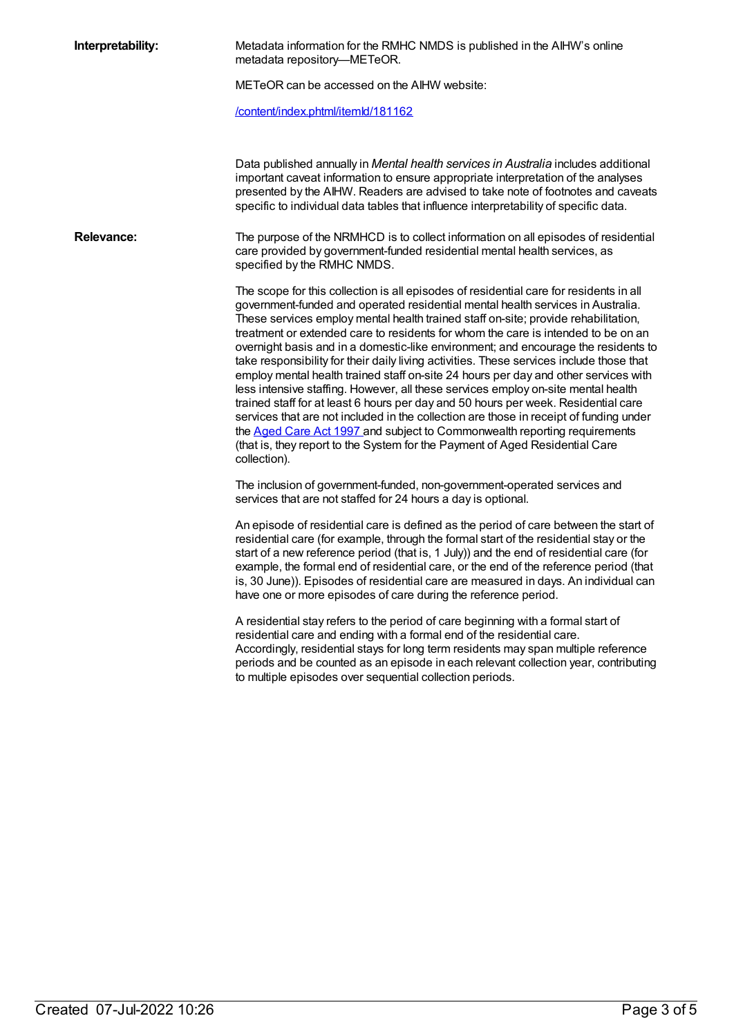| Metadata information for the RMHC NMDS is published in the AIHW's online<br>metadata repository-METeOR.                                                                                                                                                                                                                                                                                                                                                                                                                                                                                                                                                                                                                                                                                                                                                                                                                                                                                                                                                                         |
|---------------------------------------------------------------------------------------------------------------------------------------------------------------------------------------------------------------------------------------------------------------------------------------------------------------------------------------------------------------------------------------------------------------------------------------------------------------------------------------------------------------------------------------------------------------------------------------------------------------------------------------------------------------------------------------------------------------------------------------------------------------------------------------------------------------------------------------------------------------------------------------------------------------------------------------------------------------------------------------------------------------------------------------------------------------------------------|
| METeOR can be accessed on the AIHW website:                                                                                                                                                                                                                                                                                                                                                                                                                                                                                                                                                                                                                                                                                                                                                                                                                                                                                                                                                                                                                                     |
| /content/index.phtml/itemld/181162                                                                                                                                                                                                                                                                                                                                                                                                                                                                                                                                                                                                                                                                                                                                                                                                                                                                                                                                                                                                                                              |
| Data published annually in Mental health services in Australia includes additional<br>important caveat information to ensure appropriate interpretation of the analyses<br>presented by the AIHW. Readers are advised to take note of footnotes and caveats<br>specific to individual data tables that influence interpretability of specific data.                                                                                                                                                                                                                                                                                                                                                                                                                                                                                                                                                                                                                                                                                                                             |
| The purpose of the NRMHCD is to collect information on all episodes of residential<br>care provided by government-funded residential mental health services, as<br>specified by the RMHC NMDS.                                                                                                                                                                                                                                                                                                                                                                                                                                                                                                                                                                                                                                                                                                                                                                                                                                                                                  |
| The scope for this collection is all episodes of residential care for residents in all<br>government-funded and operated residential mental health services in Australia.<br>These services employ mental health trained staff on-site; provide rehabilitation,<br>treatment or extended care to residents for whom the care is intended to be on an<br>overnight basis and in a domestic-like environment; and encourage the residents to<br>take responsibility for their daily living activities. These services include those that<br>employ mental health trained staff on-site 24 hours per day and other services with<br>less intensive staffing. However, all these services employ on-site mental health<br>trained staff for at least 6 hours per day and 50 hours per week. Residential care<br>services that are not included in the collection are those in receipt of funding under<br>the Aged Care Act 1997 and subject to Commonwealth reporting requirements<br>(that is, they report to the System for the Payment of Aged Residential Care<br>collection). |
| The inclusion of government-funded, non-government-operated services and<br>services that are not staffed for 24 hours a day is optional.                                                                                                                                                                                                                                                                                                                                                                                                                                                                                                                                                                                                                                                                                                                                                                                                                                                                                                                                       |
| An episode of residential care is defined as the period of care between the start of<br>residential care (for example, through the formal start of the residential stay or the<br>start of a new reference period (that is, 1 July)) and the end of residential care (for<br>example, the formal end of residential care, or the end of the reference period (that<br>is, 30 June)). Episodes of residential care are measured in days. An individual can<br>have one or more episodes of care during the reference period.                                                                                                                                                                                                                                                                                                                                                                                                                                                                                                                                                     |
| A residential stay refers to the period of care beginning with a formal start of<br>residential care and ending with a formal end of the residential care.<br>Accordingly, residential stays for long term residents may span multiple reference<br>periods and be counted as an episode in each relevant collection year, contributing<br>to multiple episodes over sequential collection periods.                                                                                                                                                                                                                                                                                                                                                                                                                                                                                                                                                                                                                                                                             |
|                                                                                                                                                                                                                                                                                                                                                                                                                                                                                                                                                                                                                                                                                                                                                                                                                                                                                                                                                                                                                                                                                 |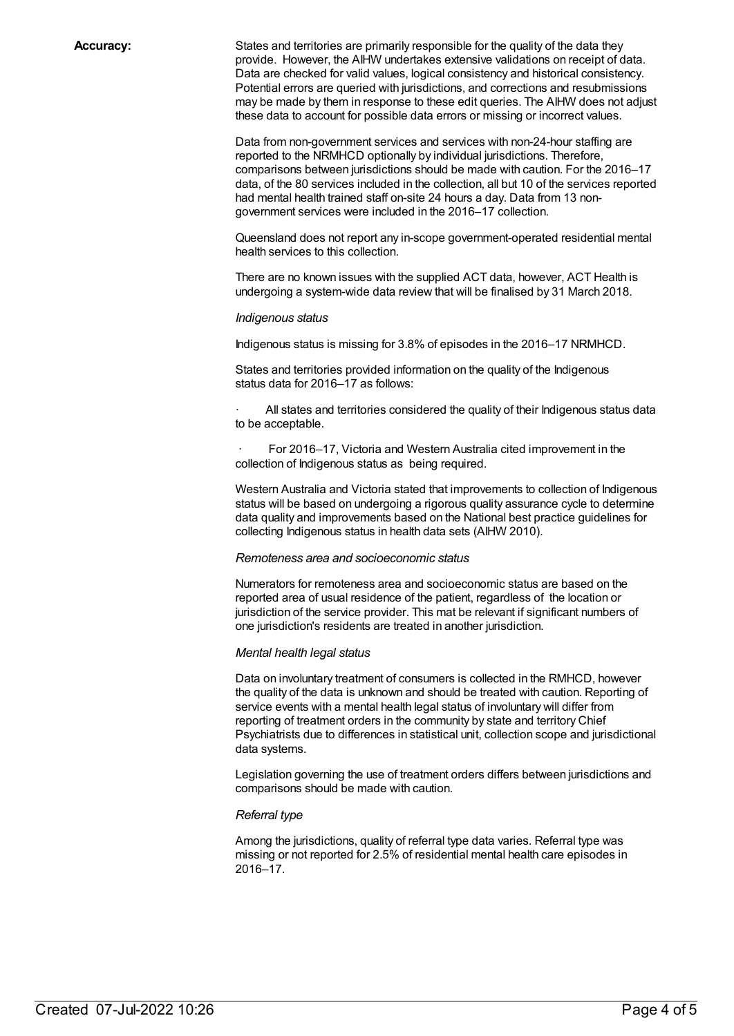**Accuracy:** States and territories are primarily responsible for the quality of the data they provide. However, the AIHW undertakes extensive validations on receipt of data. Data are checked for valid values, logical consistency and historical consistency. Potential errors are queried with jurisdictions, and corrections and resubmissions may be made by them in response to these edit queries. The AIHW does not adjust these data to account for possible data errors or missing or incorrect values.

> Data from non-government services and services with non-24-hour staffing are reported to the NRMHCD optionally by individual jurisdictions. Therefore, comparisons between jurisdictions should be made with caution. For the 2016–17 data, of the 80 services included in the collection, all but 10 of the services reported had mental health trained staff on-site 24 hours a day. Data from 13 nongovernment services were included in the 2016–17 collection.

Queensland does not report any in-scope government-operated residential mental health services to this collection.

There are no known issues with the supplied ACT data, however, ACT Health is undergoing a system-wide data review that will be finalised by 31 March 2018.

#### *Indigenous status*

Indigenous status is missing for 3.8% of episodes in the 2016–17 NRMHCD.

States and territories provided information on the quality of the Indigenous status data for 2016–17 as follows:

All states and territories considered the quality of their Indigenous status data to be acceptable.

For 2016–17, Victoria and Western Australia cited improvement in the collection of Indigenous status as being required.

Western Australia and Victoria stated that improvements to collection of Indigenous status will be based on undergoing a rigorous quality assurance cycle to determine data quality and improvements based on the National best practice guidelines for collecting Indigenous status in health data sets (AIHW 2010).

#### *Remoteness area and socioeconomic status*

Numerators for remoteness area and socioeconomic status are based on the reported area of usual residence of the patient, regardless of the location or jurisdiction of the service provider. This mat be relevant if significant numbers of one jurisdiction's residents are treated in another jurisdiction.

#### *Mental health legal status*

Data on involuntary treatment of consumers is collected in the RMHCD, however the quality of the data is unknown and should be treated with caution. Reporting of service events with a mental health legal status of involuntary will differ from reporting of treatment orders in the community by state and territory Chief Psychiatrists due to differences in statistical unit, collection scope and jurisdictional data systems.

Legislation governing the use of treatment orders differs between jurisdictions and comparisons should be made with caution.

#### *Referral type*

Among the jurisdictions, quality of referral type data varies. Referral type was missing or not reported for 2.5% of residential mental health care episodes in 2016–17.